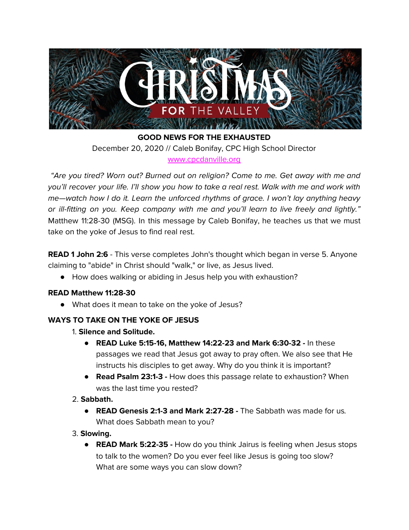

**GOOD NEWS FOR THE EXHAUSTED** December 20, 2020 // Caleb Bonifay, CPC High School Director [www.cpcdanville.org](http://www.cpcdanville.org/)

"Are you tired? Worn out? Burned out on religion? Come to me. Get away with me and you'll recover your life. I'll show you how to take a real rest. Walk with me and work with me—watch how I do it. Learn the unforced rhythms of grace. I won't lay anything heavy or ill-fitting on you. Keep company with me and you'll learn to live freely and lightly." Matthew 11:28-30 (MSG). In this message by Caleb Bonifay, he teaches us that we must take on the yoke of Jesus to find real rest.

**READ 1 John 2:6** - This verse completes John's thought which began in verse 5. Anyone claiming to "abide" in Christ should "walk," or live, as Jesus lived.

● How does walking or abiding in Jesus help you with exhaustion?

## **READ Matthew 11:28-30**

● What does it mean to take on the yoke of Jesus?

## **WAYS TO TAKE ON THE YOKE OF JESUS**

- 1. **Silence and Solitude.**
	- **READ Luke 5:15-16, Matthew 14:22-23 and Mark 6:30-32 -** In these passages we read that Jesus got away to pray often. We also see that He instructs his disciples to get away. Why do you think it is important?
	- **● Read Psalm 23:1-3 -** How does this passage relate to exhaustion? When was the last time you rested?
- 2. **Sabbath.**
	- **READ Genesis 2:1-3 and Mark 2:27-28 -** The Sabbath was made for us. What does Sabbath mean to you?
- 3. **Slowing.**
	- **READ Mark 5:22-35 -** How do you think Jairus is feeling when Jesus stops to talk to the women? Do you ever feel like Jesus is going too slow? What are some ways you can slow down?